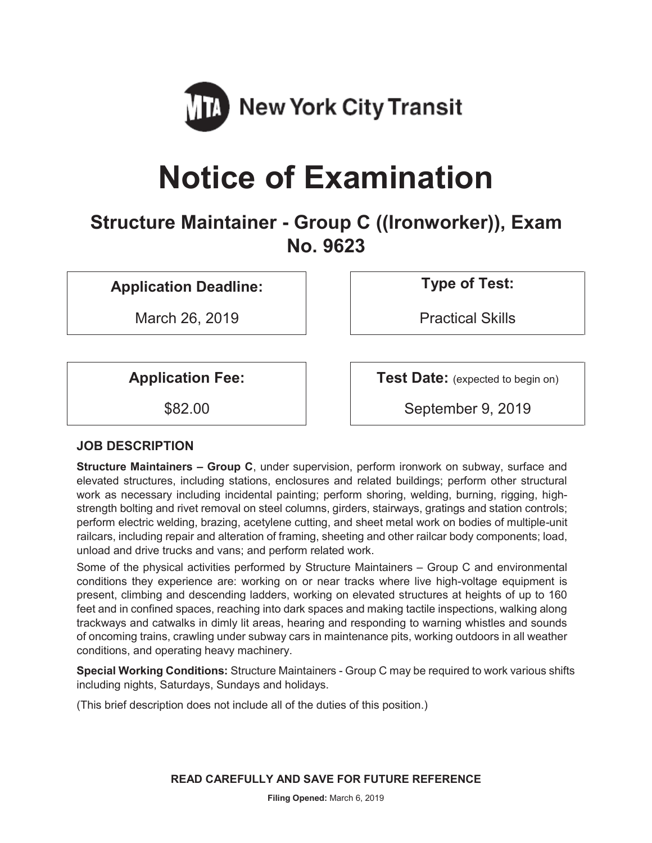

# **Notice of Examination**

**Structure Maintainer - Group C ((Ironworker)), Exam No. 9623** 

**Application Deadline: Type of Test:** 

March 26, 2019 | Practical Skills

**Application Fee:**  $\vert$  **Test Date:** (expected to begin on)

\$82.00 September 9, 2019

# **JOB DESCRIPTION**

**Structure Maintainers – Group C**, under supervision, perform ironwork on subway, surface and elevated structures, including stations, enclosures and related buildings; perform other structural work as necessary including incidental painting; perform shoring, welding, burning, rigging, highstrength bolting and rivet removal on steel columns, girders, stairways, gratings and station controls; perform electric welding, brazing, acetylene cutting, and sheet metal work on bodies of multiple-unit railcars, including repair and alteration of framing, sheeting and other railcar body components; load, unload and drive trucks and vans; and perform related work.

Some of the physical activities performed by Structure Maintainers – Group C and environmental conditions they experience are: working on or near tracks where live high-voltage equipment is present, climbing and descending ladders, working on elevated structures at heights of up to 160 feet and in confined spaces, reaching into dark spaces and making tactile inspections, walking along trackways and catwalks in dimly lit areas, hearing and responding to warning whistles and sounds of oncoming trains, crawling under subway cars in maintenance pits, working outdoors in all weather conditions, and operating heavy machinery.

**Special Working Conditions:** Structure Maintainers - Group C may be required to work various shifts including nights, Saturdays, Sundays and holidays.

(This brief description does not include all of the duties of this position.)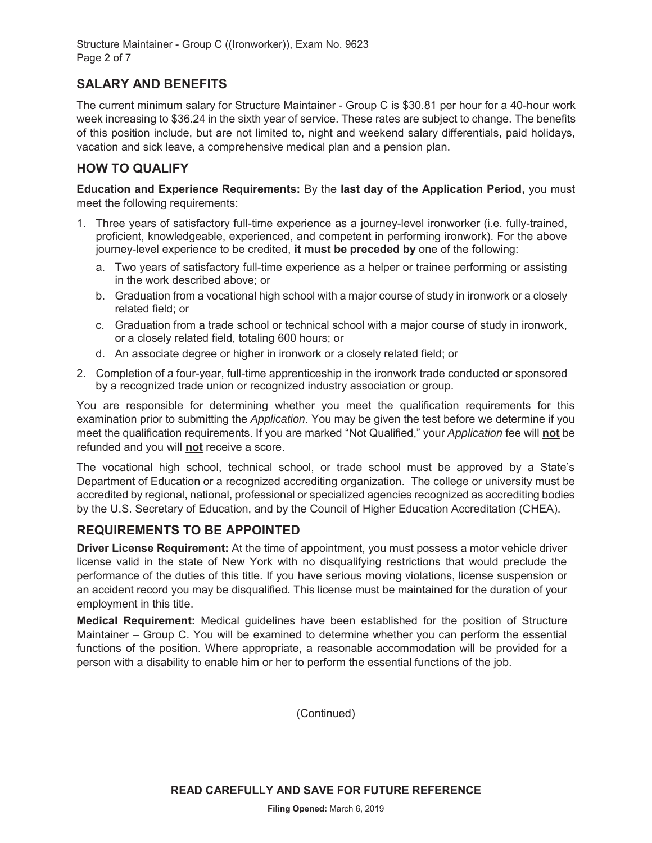Structure Maintainer - Group C ((Ironworker)), Exam No. 9623 Page 2 of 7

# **SALARY AND BENEFITS**

The current minimum salary for Structure Maintainer - Group C is \$30.81 per hour for a 40-hour work week increasing to \$36.24 in the sixth year of service. These rates are subject to change. The benefits of this position include, but are not limited to, night and weekend salary differentials, paid holidays, vacation and sick leave, a comprehensive medical plan and a pension plan.

#### **HOW TO QUALIFY**

**Education and Experience Requirements:** By the **last day of the Application Period,** you must meet the following requirements:

- 1. Three years of satisfactory full-time experience as a journey-level ironworker (i.e. fully-trained, proficient, knowledgeable, experienced, and competent in performing ironwork). For the above journey-level experience to be credited, **it must be preceded by** one of the following:
	- a. Two years of satisfactory full-time experience as a helper or trainee performing or assisting in the work described above; or
	- b. Graduation from a vocational high school with a major course of study in ironwork or a closely related field; or
	- c. Graduation from a trade school or technical school with a major course of study in ironwork, or a closely related field, totaling 600 hours; or
	- d. An associate degree or higher in ironwork or a closely related field; or
- 2. Completion of a four-year, full-time apprenticeship in the ironwork trade conducted or sponsored by a recognized trade union or recognized industry association or group.

You are responsible for determining whether you meet the qualification requirements for this examination prior to submitting the *Application*. You may be given the test before we determine if you meet the qualification requirements. If you are marked "Not Qualified," your *Application* fee will **not** be refunded and you will **not** receive a score.

The vocational high school, technical school, or trade school must be approved by a State's Department of Education or a recognized accrediting organization. The college or university must be accredited by regional, national, professional or specialized agencies recognized as accrediting bodies by the U.S. Secretary of Education, and by the Council of Higher Education Accreditation (CHEA).

### **REQUIREMENTS TO BE APPOINTED**

**Driver License Requirement:** At the time of appointment, you must possess a motor vehicle driver license valid in the state of New York with no disqualifying restrictions that would preclude the performance of the duties of this title. If you have serious moving violations, license suspension or an accident record you may be disqualified. This license must be maintained for the duration of your employment in this title.

**Medical Requirement:** Medical guidelines have been established for the position of Structure Maintainer – Group C. You will be examined to determine whether you can perform the essential functions of the position. Where appropriate, a reasonable accommodation will be provided for a person with a disability to enable him or her to perform the essential functions of the job.

(Continued)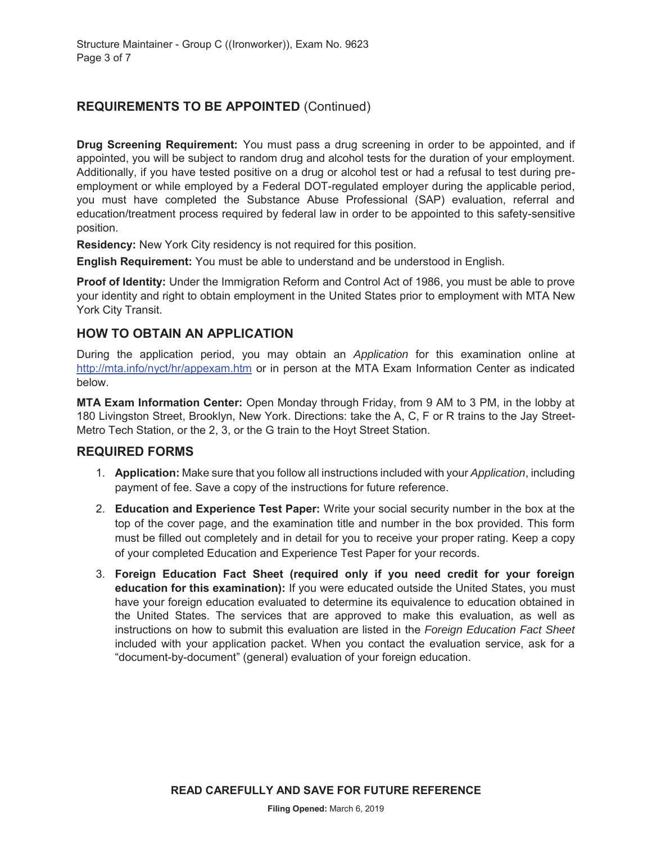# **REQUIREMENTS TO BE APPOINTED** (Continued)

**Drug Screening Requirement:** You must pass a drug screening in order to be appointed, and if appointed, you will be subject to random drug and alcohol tests for the duration of your employment. Additionally, if you have tested positive on a drug or alcohol test or had a refusal to test during preemployment or while employed by a Federal DOT-regulated employer during the applicable period, you must have completed the Substance Abuse Professional (SAP) evaluation, referral and education/treatment process required by federal law in order to be appointed to this safety-sensitive position.

**Residency:** New York City residency is not required for this position.

**English Requirement:** You must be able to understand and be understood in English.

**Proof of Identity:** Under the Immigration Reform and Control Act of 1986, you must be able to prove your identity and right to obtain employment in the United States prior to employment with MTA New York City Transit.

## **HOW TO OBTAIN AN APPLICATION**

During the application period, you may obtain an *Application* for this examination online at http://mta.info/nyct/hr/appexam.htm or in person at the MTA Exam Information Center as indicated below.

**MTA Exam Information Center:** Open Monday through Friday, from 9 AM to 3 PM, in the lobby at 180 Livingston Street, Brooklyn, New York. Directions: take the A, C, F or R trains to the Jay Street-Metro Tech Station, or the 2, 3, or the G train to the Hoyt Street Station.

### **REQUIRED FORMS**

- 1. **Application:** Make sure that you follow all instructions included with your *Application*, including payment of fee. Save a copy of the instructions for future reference.
- 2. **Education and Experience Test Paper:** Write your social security number in the box at the top of the cover page, and the examination title and number in the box provided. This form must be filled out completely and in detail for you to receive your proper rating. Keep a copy of your completed Education and Experience Test Paper for your records.
- 3. **Foreign Education Fact Sheet (required only if you need credit for your foreign education for this examination):** If you were educated outside the United States, you must have your foreign education evaluated to determine its equivalence to education obtained in the United States. The services that are approved to make this evaluation, as well as instructions on how to submit this evaluation are listed in the *Foreign Education Fact Sheet* included with your application packet. When you contact the evaluation service, ask for a "document-by-document" (general) evaluation of your foreign education.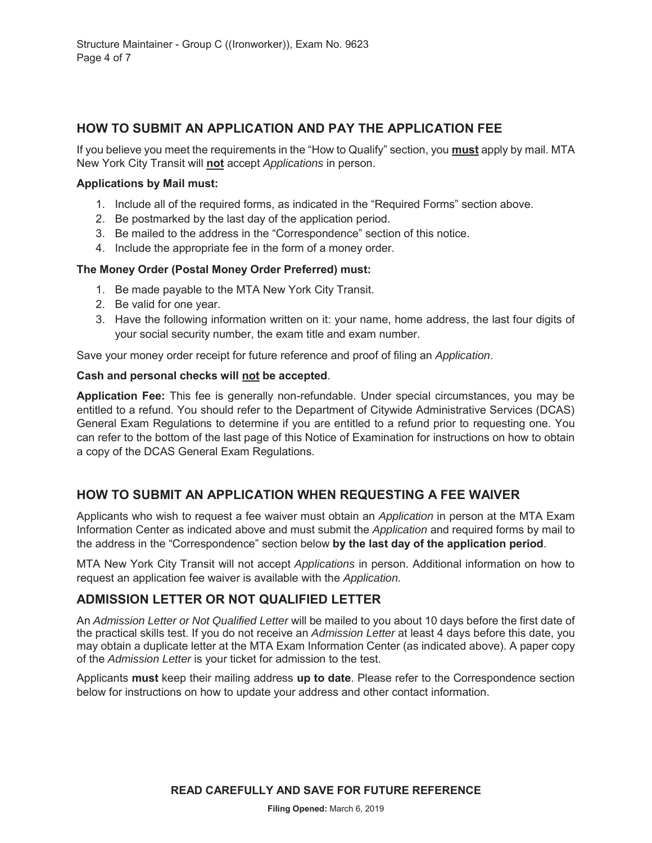## **HOW TO SUBMIT AN APPLICATION AND PAY THE APPLICATION FEE**

If you believe you meet the requirements in the "How to Qualify" section, you **must** apply by mail. MTA New York City Transit will **not** accept *Applications* in person.

#### **Applications by Mail must:**

- 1. Include all of the required forms, as indicated in the "Required Forms" section above.
- 2. Be postmarked by the last day of the application period.
- 3. Be mailed to the address in the "Correspondence" section of this notice.
- 4. Include the appropriate fee in the form of a money order.

#### **The Money Order (Postal Money Order Preferred) must:**

- 1. Be made payable to the MTA New York City Transit.
- 2. Be valid for one year.
- 3. Have the following information written on it: your name, home address, the last four digits of your social security number, the exam title and exam number.

Save your money order receipt for future reference and proof of filing an *Application*.

#### **Cash and personal checks will not be accepted**.

**Application Fee:** This fee is generally non-refundable. Under special circumstances, you may be entitled to a refund. You should refer to the Department of Citywide Administrative Services (DCAS) General Exam Regulations to determine if you are entitled to a refund prior to requesting one. You can refer to the bottom of the last page of this Notice of Examination for instructions on how to obtain a copy of the DCAS General Exam Regulations.

### **HOW TO SUBMIT AN APPLICATION WHEN REQUESTING A FEE WAIVER**

Applicants who wish to request a fee waiver must obtain an *Application* in person at the MTA Exam Information Center as indicated above and must submit the *Application* and required forms by mail to the address in the "Correspondence" section below **by the last day of the application period**.

MTA New York City Transit will not accept *Applications* in person. Additional information on how to request an application fee waiver is available with the *Application.*

### **ADMISSION LETTER OR NOT QUALIFIED LETTER**

An *Admission Letter or Not Qualified Letter* will be mailed to you about 10 days before the first date of the practical skills test. If you do not receive an *Admission Letter* at least 4 days before this date, you may obtain a duplicate letter at the MTA Exam Information Center (as indicated above). A paper copy of the *Admission Letter* is your ticket for admission to the test.

Applicants **must** keep their mailing address **up to date**. Please refer to the Correspondence section below for instructions on how to update your address and other contact information.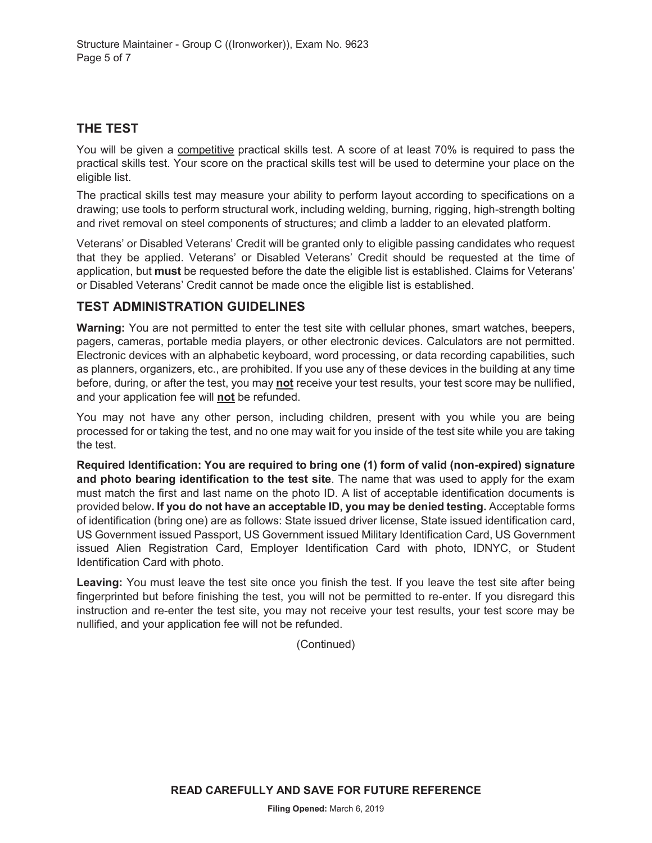## **THE TEST**

You will be given a competitive practical skills test. A score of at least 70% is required to pass the practical skills test. Your score on the practical skills test will be used to determine your place on the eligible list.

The practical skills test may measure your ability to perform layout according to specifications on a drawing; use tools to perform structural work, including welding, burning, rigging, high-strength bolting and rivet removal on steel components of structures; and climb a ladder to an elevated platform.

Veterans' or Disabled Veterans' Credit will be granted only to eligible passing candidates who request that they be applied. Veterans' or Disabled Veterans' Credit should be requested at the time of application, but **must** be requested before the date the eligible list is established. Claims for Veterans' or Disabled Veterans' Credit cannot be made once the eligible list is established.

### **TEST ADMINISTRATION GUIDELINES**

**Warning:** You are not permitted to enter the test site with cellular phones, smart watches, beepers, pagers, cameras, portable media players, or other electronic devices. Calculators are not permitted. Electronic devices with an alphabetic keyboard, word processing, or data recording capabilities, such as planners, organizers, etc., are prohibited. If you use any of these devices in the building at any time before, during, or after the test, you may **not** receive your test results, your test score may be nullified, and your application fee will **not** be refunded.

You may not have any other person, including children, present with you while you are being processed for or taking the test, and no one may wait for you inside of the test site while you are taking the test.

**Required Identification: You are required to bring one (1) form of valid (non-expired) signature and photo bearing identification to the test site**. The name that was used to apply for the exam must match the first and last name on the photo ID. A list of acceptable identification documents is provided below**. If you do not have an acceptable ID, you may be denied testing.** Acceptable forms of identification (bring one) are as follows: State issued driver license, State issued identification card, US Government issued Passport, US Government issued Military Identification Card, US Government issued Alien Registration Card, Employer Identification Card with photo, IDNYC, or Student Identification Card with photo.

**Leaving:** You must leave the test site once you finish the test. If you leave the test site after being fingerprinted but before finishing the test, you will not be permitted to re-enter. If you disregard this instruction and re-enter the test site, you may not receive your test results, your test score may be nullified, and your application fee will not be refunded.

(Continued)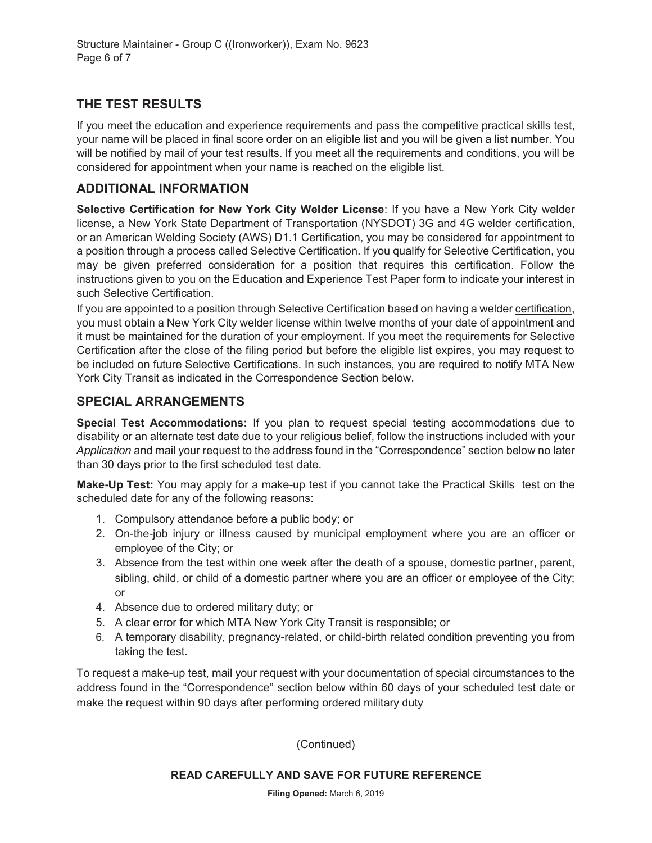# **THE TEST RESULTS**

If you meet the education and experience requirements and pass the competitive practical skills test, your name will be placed in final score order on an eligible list and you will be given a list number. You will be notified by mail of your test results. If you meet all the requirements and conditions, you will be considered for appointment when your name is reached on the eligible list.

# **ADDITIONAL INFORMATION**

**Selective Certification for New York City Welder License**: If you have a New York City welder license, a New York State Department of Transportation (NYSDOT) 3G and 4G welder certification, or an American Welding Society (AWS) D1.1 Certification, you may be considered for appointment to a position through a process called Selective Certification. If you qualify for Selective Certification, you may be given preferred consideration for a position that requires this certification. Follow the instructions given to you on the Education and Experience Test Paper form to indicate your interest in such Selective Certification.

If you are appointed to a position through Selective Certification based on having a welder certification, you must obtain a New York City welder license within twelve months of your date of appointment and it must be maintained for the duration of your employment. If you meet the requirements for Selective Certification after the close of the filing period but before the eligible list expires, you may request to be included on future Selective Certifications. In such instances, you are required to notify MTA New York City Transit as indicated in the Correspondence Section below.

# **SPECIAL ARRANGEMENTS**

**Special Test Accommodations:** If you plan to request special testing accommodations due to disability or an alternate test date due to your religious belief, follow the instructions included with your *Application* and mail your request to the address found in the "Correspondence" section below no later than 30 days prior to the first scheduled test date.

**Make-Up Test:** You may apply for a make-up test if you cannot take the Practical Skills test on the scheduled date for any of the following reasons:

- 1. Compulsory attendance before a public body; or
- 2. On-the-job injury or illness caused by municipal employment where you are an officer or employee of the City; or
- 3. Absence from the test within one week after the death of a spouse, domestic partner, parent, sibling, child, or child of a domestic partner where you are an officer or employee of the City; or
- 4. Absence due to ordered military duty; or
- 5. A clear error for which MTA New York City Transit is responsible; or
- 6. A temporary disability, pregnancy-related, or child-birth related condition preventing you from taking the test.

To request a make-up test, mail your request with your documentation of special circumstances to the address found in the "Correspondence" section below within 60 days of your scheduled test date or make the request within 90 days after performing ordered military duty

(Continued)

#### **READ CAREFULLY AND SAVE FOR FUTURE REFERENCE**

**Filing Opened:** March 6, 2019